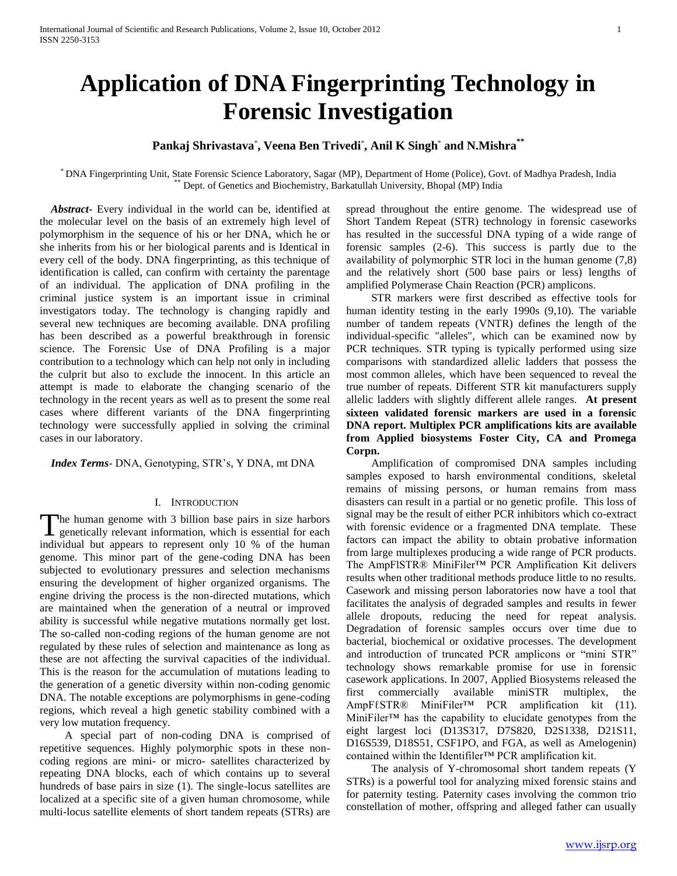# **Application of DNA Fingerprinting Technology in Forensic Investigation**

## **Pankaj Shrivastava**\* **, Veena Ben Trivedi**\* **, Anil K Singh**\* **and N.Mishra\*\***

\* DNA Fingerprinting Unit, State Forensic Science Laboratory, Sagar (MP), Department of Home (Police), Govt. of Madhya Pradesh, India Dept. of Genetics and Biochemistry, Barkatullah University, Bhopal (MP) India

 *Abstract***-** Every individual in the world can be, identified at the molecular level on the basis of an extremely high level of polymorphism in the sequence of his or her DNA, which he or she inherits from his or her biological parents and is Identical in every cell of the body. DNA fingerprinting, as this technique of identification is called, can confirm with certainty the parentage of an individual. The application of DNA profiling in the criminal justice system is an important issue in criminal investigators today. The technology is changing rapidly and several new techniques are becoming available. DNA profiling has been described as a powerful breakthrough in forensic science. The Forensic Use of DNA Profiling is a major contribution to a technology which can help not only in including the culprit but also to exclude the innocent. In this article an attempt is made to elaborate the changing scenario of the technology in the recent years as well as to present the some real cases where different variants of the DNA fingerprinting technology were successfully applied in solving the criminal cases in our laboratory.

 *Index Terms*- DNA, Genotyping, STR's, Y DNA, mt DNA

## I. INTRODUCTION

The human genome with 3 billion base pairs in size harbors<br>genetically relevant information, which is essential for each genetically relevant information, which is essential for each individual but appears to represent only 10 % of the human genome. This minor part of the gene-coding DNA has been subjected to evolutionary pressures and selection mechanisms ensuring the development of higher organized organisms. The engine driving the process is the non-directed mutations, which are maintained when the generation of a neutral or improved ability is successful while negative mutations normally get lost. The so-called non-coding regions of the human genome are not regulated by these rules of selection and maintenance as long as these are not affecting the survival capacities of the individual. This is the reason for the accumulation of mutations leading to the generation of a genetic diversity within non-coding genomic DNA. The notable exceptions are polymorphisms in gene-coding regions, which reveal a high genetic stability combined with a very low mutation frequency.

 A special part of non-coding DNA is comprised of repetitive sequences. Highly polymorphic spots in these noncoding regions are mini- or micro- satellites characterized by repeating DNA blocks, each of which contains up to several hundreds of base pairs in size (1). The single-locus satellites are localized at a specific site of a given human chromosome, while multi-locus satellite elements of short tandem repeats (STRs) are

spread throughout the entire genome. The widespread use of Short Tandem Repeat (STR) technology in forensic caseworks has resulted in the successful DNA typing of a wide range of forensic samples (2-6). This success is partly due to the availability of polymorphic STR loci in the human genome (7,8) and the relatively short (500 base pairs or less) lengths of amplified Polymerase Chain Reaction (PCR) amplicons.

 STR markers were first described as effective tools for human identity testing in the early 1990s (9,10). The variable number of tandem repeats (VNTR) defines the length of the individual-specific "alleles", which can be examined now by PCR techniques. STR typing is typically performed using size comparisons with standardized allelic ladders that possess the most common alleles, which have been sequenced to reveal the true number of repeats. Different STR kit manufacturers supply allelic ladders with slightly different allele ranges. **At present sixteen validated forensic markers are used in a forensic DNA report. Multiplex PCR amplifications kits are available from Applied biosystems Foster City, CA and Promega Corpn.**

 Amplification of compromised DNA samples including samples exposed to harsh environmental conditions, skeletal remains of missing persons, or human remains from mass disasters can result in a partial or no genetic profile. This loss of signal may be the result of either PCR inhibitors which co-extract with forensic evidence or a fragmented DNA template. These factors can impact the ability to obtain probative information from large multiplexes producing a wide range of PCR products. The AmpFlSTR® MiniFiler™ PCR Amplification Kit delivers results when other traditional methods produce little to no results. Casework and missing person laboratories now have a tool that facilitates the analysis of degraded samples and results in fewer allele dropouts, reducing the need for repeat analysis. Degradation of forensic samples occurs over time due to bacterial, biochemical or oxidative processes. The development and introduction of truncated PCR amplicons or "mini STR" technology shows remarkable promise for use in forensic casework applications. In 2007, Applied Biosystems released the first commercially available miniSTR multiplex, the AmpFℓSTR® MiniFiler<sup>™</sup> PCR amplification kit (11). MiniFiler™ has the capability to elucidate genotypes from the eight largest loci (D13S317, D7S820, D2S1338, D21S11, D16S539, D18S51, CSF1PO, and FGA, as well as Amelogenin) contained within the Identifiler™ PCR amplification kit.

 The analysis of Y-chromosomal short tandem repeats (Y STRs) is a powerful tool for analyzing mixed forensic stains and for paternity testing. Paternity cases involving the common trio constellation of mother, offspring and alleged father can usually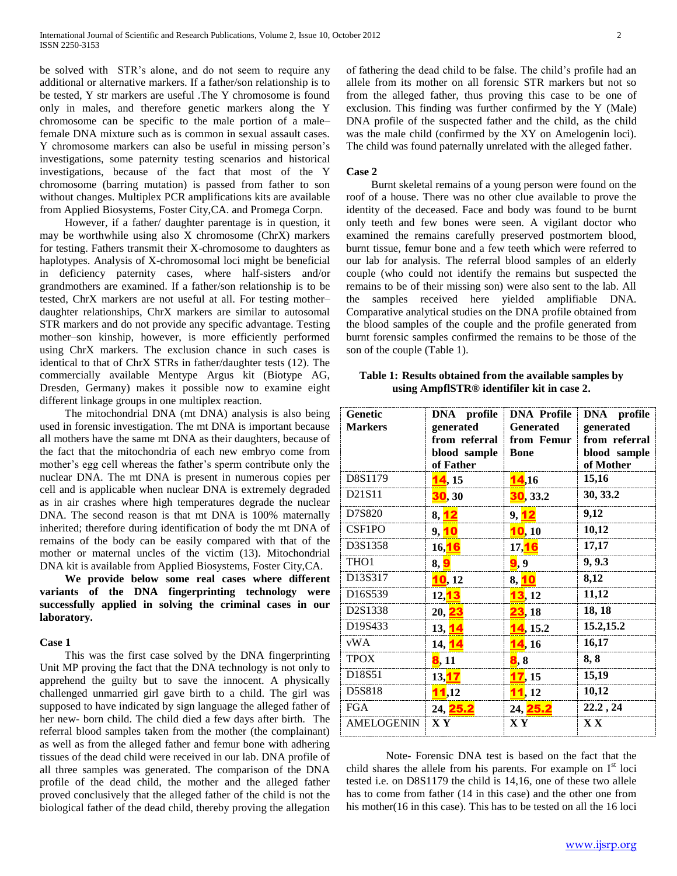be solved with STR's alone, and do not seem to require any additional or alternative markers. If a father/son relationship is to be tested, Y str markers are useful .The Y chromosome is found only in males, and therefore genetic markers along the Y chromosome can be specific to the male portion of a male– female DNA mixture such as is common in sexual assault cases. Y chromosome markers can also be useful in missing person's investigations, some paternity testing scenarios and historical investigations, because of the fact that most of the Y chromosome (barring mutation) is passed from father to son without changes. Multiplex PCR amplifications kits are available from Applied Biosystems, Foster City,CA. and Promega Corpn.

 However, if a father/ daughter parentage is in question, it may be worthwhile using also X chromosome (ChrX) markers for testing. Fathers transmit their X-chromosome to daughters as haplotypes. Analysis of X-chromosomal loci might be beneficial in deficiency paternity cases, where half-sisters and/or grandmothers are examined. If a father/son relationship is to be tested, ChrX markers are not useful at all. For testing mother– daughter relationships, ChrX markers are similar to autosomal STR markers and do not provide any specific advantage. Testing mother–son kinship, however, is more efficiently performed using ChrX markers. The exclusion chance in such cases is identical to that of ChrX STRs in father/daughter tests (12). The commercially available Mentype Argus kit (Biotype AG, Dresden, Germany) makes it possible now to examine eight different linkage groups in one multiplex reaction.

 The mitochondrial DNA (mt DNA) analysis is also being used in forensic investigation. The mt DNA is important because all mothers have the same mt DNA as their daughters, because of the fact that the mitochondria of each new embryo come from mother's egg cell whereas the father's sperm contribute only the nuclear DNA. The mt DNA is present in numerous copies per cell and is applicable when nuclear DNA is extremely degraded as in air crashes where high temperatures degrade the nuclear DNA. The second reason is that mt DNA is 100% maternally inherited; therefore during identification of body the mt DNA of remains of the body can be easily compared with that of the mother or maternal uncles of the victim (13). Mitochondrial DNA kit is available from Applied Biosystems, Foster City,CA.

 **We provide below some real cases where different variants of the DNA fingerprinting technology were successfully applied in solving the criminal cases in our laboratory.** 

## **Case 1**

 This was the first case solved by the DNA fingerprinting Unit MP proving the fact that the DNA technology is not only to apprehend the guilty but to save the innocent. A physically challenged unmarried girl gave birth to a child. The girl was supposed to have indicated by sign language the alleged father of her new- born child. The child died a few days after birth. The referral blood samples taken from the mother (the complainant) as well as from the alleged father and femur bone with adhering tissues of the dead child were received in our lab. DNA profile of all three samples was generated. The comparison of the DNA profile of the dead child, the mother and the alleged father proved conclusively that the alleged father of the child is not the biological father of the dead child, thereby proving the allegation

of fathering the dead child to be false. The child's profile had an allele from its mother on all forensic STR markers but not so from the alleged father, thus proving this case to be one of exclusion. This finding was further confirmed by the Y (Male) DNA profile of the suspected father and the child, as the child was the male child (confirmed by the XY on Amelogenin loci). The child was found paternally unrelated with the alleged father.

## **Case 2**

**Genetic Markers**

 Burnt skeletal remains of a young person were found on the roof of a house. There was no other clue available to prove the identity of the deceased. Face and body was found to be burnt only teeth and few bones were seen. A vigilant doctor who examined the remains carefully preserved postmortem blood, burnt tissue, femur bone and a few teeth which were referred to our lab for analysis. The referral blood samples of an elderly couple (who could not identify the remains but suspected the remains to be of their missing son) were also sent to the lab. All the samples received here yielded amplifiable DNA. Comparative analytical studies on the DNA profile obtained from the blood samples of the couple and the profile generated from burnt forensic samples confirmed the remains to be those of the son of the couple (Table 1).

**Table 1: Results obtained from the available samples by using AmpflSTR® identifiler kit in case 2.**

**DNA Profile Generated from Femur** 

**DNA profile generated from referral blood sample of Mother**

**Bone** 

**DNA profile generated from referral blood sample of Father**

D8S1179 **14,** 15 **14,** 16 **15, 16** D21S11 **30, 30 30, 33.2 30, 33.2** D7S820 **8,** 12 **9,** 12 **9,12** CSF1PO **9,** 10 10**, 10 10,12** D3S1358 **16,**16 **17,**16 **17,17** THO1 **8, <mark>9</mark>** 9, 9.3 D13S317 **10, 12 8, 10 8,12** D16S539 **12,**13 13**, 12 11,12**

| D2S1338                                                                                                                                                                                                                 | 20, 23                                                | <b>23</b> , 18 | 18, 18                  |
|-------------------------------------------------------------------------------------------------------------------------------------------------------------------------------------------------------------------------|-------------------------------------------------------|----------------|-------------------------|
| D19S433                                                                                                                                                                                                                 | 13, 14                                                | 14, 15.2       | 15.2, 15.2              |
| vWA                                                                                                                                                                                                                     | 14, <mark>14</mark>                                   | 14,16          | 16,17                   |
| <b>TPOX</b>                                                                                                                                                                                                             | 8,11                                                  | 8,8            | 8,8                     |
| D <sub>18</sub> S <sub>51</sub>                                                                                                                                                                                         | 13, 17                                                | 17,15          | 15,19                   |
| D5S818                                                                                                                                                                                                                  | 11,12                                                 | 11,12          | 10,12                   |
| <b>FGA</b>                                                                                                                                                                                                              | 24, 25.2                                              | 24, 25.2       | 22.2, 24                |
| <b>AMELOGENIN</b>                                                                                                                                                                                                       | XY                                                    | X Y            | $\mathbf{X} \mathbf{X}$ |
| child shares the allele from his parents. For example on I <sup>st</sup> loci<br>tested i.e. on D8S1179 the child is 14,16, one of these two allele<br>has to come from father (14 in this case) and the other one from | Note- Forensic DNA test is based on the fact that the |                |                         |

his mother(16 in this case). This has to be tested on all the 16 loci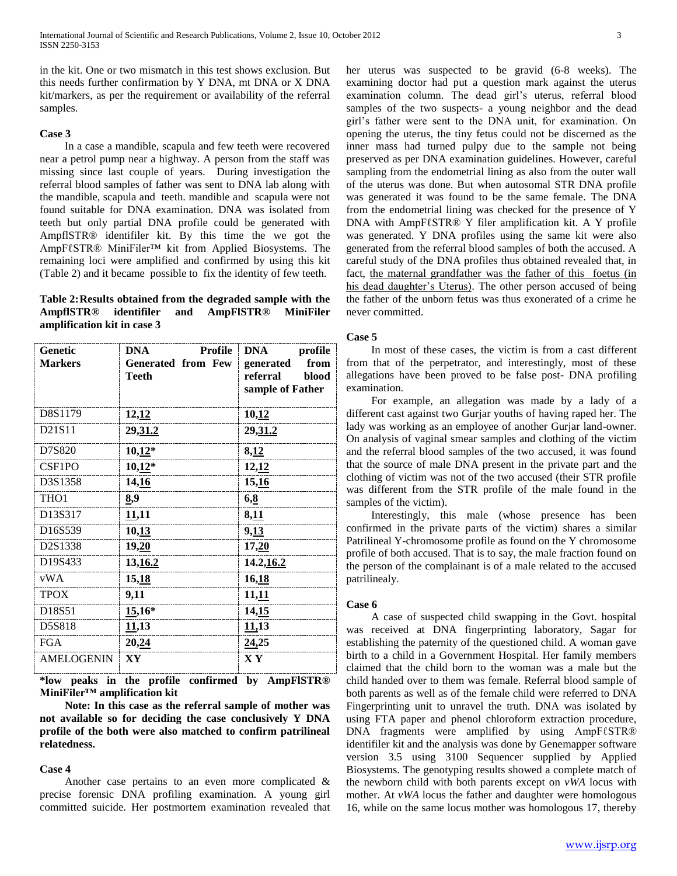in the kit. One or two mismatch in this test shows exclusion. But this needs further confirmation by Y DNA, mt DNA or X DNA kit/markers, as per the requirement or availability of the referral samples.

## **Case 3**

 In a case a mandible, scapula and few teeth were recovered near a petrol pump near a highway. A person from the staff was missing since last couple of years. During investigation the referral blood samples of father was sent to DNA lab along with the mandible, scapula and teeth. mandible and scapula were not found suitable for DNA examination. DNA was isolated from teeth but only partial DNA profile could be generated with AmpflSTR® identifiler kit. By this time the we got the AmpFℓSTR® MiniFiler™ kit from Applied Biosystems. The remaining loci were amplified and confirmed by using this kit (Table 2) and it became possible to fix the identity of few teeth.

## **Table 2:Results obtained from the degraded sample with the AmpflSTR® identifiler and AmpFlSTR® MiniFiler amplification kit in case 3**

| Genetic<br><b>Markers</b> | DNA<br><b>Profile</b><br><b>Generated from Few</b><br>Teeth | DNA<br>profile<br>from<br>generated<br>referral<br>blood<br>sample of Father |
|---------------------------|-------------------------------------------------------------|------------------------------------------------------------------------------|
| D8S1179                   | 12,12                                                       | 10,12                                                                        |
| D21S11                    | 29,31.2                                                     | 29,31.2                                                                      |
| D7S820                    | $10,12*$                                                    | 8,12                                                                         |
| CSF1PO                    | $10,12*$                                                    | 12,12                                                                        |
| D3S1358                   | 14,16                                                       | 15,16                                                                        |
| THO1                      | 8,9                                                         | 6,8                                                                          |
| D13S317                   | 11,11                                                       | 8,11                                                                         |
| D16S539                   | 10,13                                                       | 9,13                                                                         |
| D2S1338                   | 19,20                                                       | 17,20                                                                        |
| D19S433                   | 13,16.2                                                     | 14.2, 16.2                                                                   |
| vWA                       | 15,18                                                       | 16,18                                                                        |
| <b>TPOX</b>               | 9,11                                                        | 11,11                                                                        |
| D18S51                    | 15,16*                                                      | 14,15                                                                        |
| D5S818                    | 11,13                                                       | 11,13                                                                        |
| <b>FGA</b>                | 20,24                                                       | 24,25                                                                        |
| <b>AMELOGENIN</b>         | XY                                                          | X Y                                                                          |

**\*low peaks in the profile confirmed by AmpFlSTR® MiniFiler™ amplification kit**

 **Note: In this case as the referral sample of mother was not available so for deciding the case conclusively Y DNA profile of the both were also matched to confirm patrilineal relatedness.**

## **Case 4**

 Another case pertains to an even more complicated & precise forensic DNA profiling examination. A young girl committed suicide. Her postmortem examination revealed that her uterus was suspected to be gravid (6-8 weeks). The examining doctor had put a question mark against the uterus examination column. The dead girl's uterus, referral blood samples of the two suspects- a young neighbor and the dead girl's father were sent to the DNA unit, for examination. On opening the uterus, the tiny fetus could not be discerned as the inner mass had turned pulpy due to the sample not being preserved as per DNA examination guidelines. However, careful sampling from the endometrial lining as also from the outer wall of the uterus was done. But when autosomal STR DNA profile was generated it was found to be the same female. The DNA from the endometrial lining was checked for the presence of Y DNA with AmpFℓSTR® Y filer amplification kit. A Y profile was generated. Y DNA profiles using the same kit were also generated from the referral blood samples of both the accused. A careful study of the DNA profiles thus obtained revealed that, in fact, the maternal grandfather was the father of this foetus (in his dead daughter's Uterus). The other person accused of being the father of the unborn fetus was thus exonerated of a crime he never committed.

## **Case 5**

 In most of these cases, the victim is from a cast different from that of the perpetrator, and interestingly, most of these allegations have been proved to be false post- DNA profiling examination.

 For example, an allegation was made by a lady of a different cast against two Gurjar youths of having raped her. The lady was working as an employee of another Gurjar land-owner. On analysis of vaginal smear samples and clothing of the victim and the referral blood samples of the two accused, it was found that the source of male DNA present in the private part and the clothing of victim was not of the two accused (their STR profile was different from the STR profile of the male found in the samples of the victim).

 Interestingly, this male (whose presence has been confirmed in the private parts of the victim) shares a similar Patrilineal Y-chromosome profile as found on the Y chromosome profile of both accused. That is to say, the male fraction found on the person of the complainant is of a male related to the accused patrilinealy.

## **Case 6**

 A case of suspected child swapping in the Govt. hospital was received at DNA fingerprinting laboratory, Sagar for establishing the paternity of the questioned child. A woman gave birth to a child in a Government Hospital. Her family members claimed that the child born to the woman was a male but the child handed over to them was female. Referral blood sample of both parents as well as of the female child were referred to DNA Fingerprinting unit to unravel the truth. DNA was isolated by using FTA paper and phenol chloroform extraction procedure, DNA fragments were amplified by using AmpFℓSTR® identifiler kit and the analysis was done by Genemapper software version 3.5 using 3100 Sequencer supplied by Applied Biosystems. The genotyping results showed a complete match of the newborn child with both parents except on *vWA* locus with mother. At *vWA* locus the father and daughter were homologous 16, while on the same locus mother was homologous 17, thereby